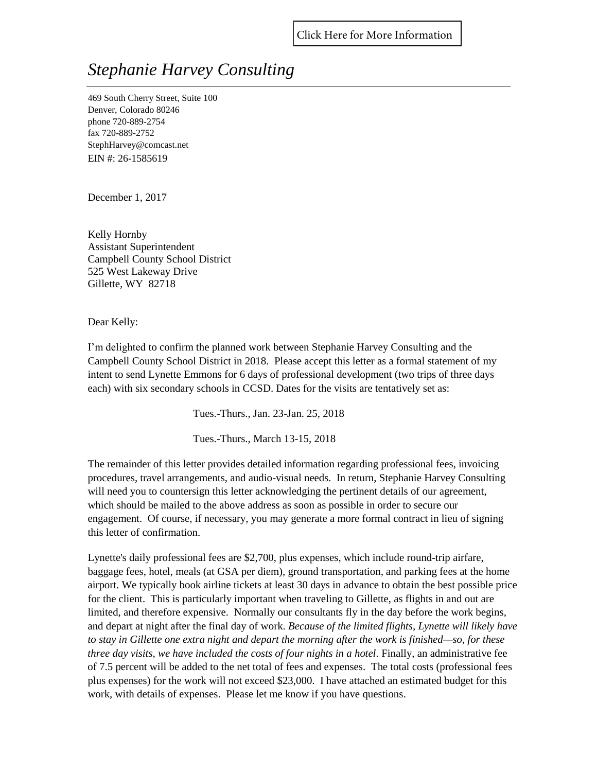## *Stephanie Harvey Consulting*

469 South Cherry Street, Suite 100 Denver, Colorado 80246 phone 720-889-2754 fax 720-889-2752 StephHarvey@comcast.net EIN #: 26-1585619

December 1, 2017

Kelly Hornby Assistant Superintendent Campbell County School District 525 West Lakeway Drive Gillette, WY 82718

Dear Kelly:

I'm delighted to confirm the planned work between Stephanie Harvey Consulting and the Campbell County School District in 2018. Please accept this letter as a formal statement of my intent to send Lynette Emmons for 6 days of professional development (two trips of three days each) with six secondary schools in CCSD. Dates for the visits are tentatively set as:

Tues.-Thurs., Jan. 23-Jan. 25, 2018

Tues.-Thurs., March 13-15, 2018

The remainder of this letter provides detailed information regarding professional fees, invoicing procedures, travel arrangements, and audio-visual needs. In return, Stephanie Harvey Consulting will need you to countersign this letter acknowledging the pertinent details of our agreement, which should be mailed to the above address as soon as possible in order to secure our engagement. Of course, if necessary, you may generate a more formal contract in lieu of signing this letter of confirmation.

Lynette's daily professional fees are \$2,700, plus expenses, which include round-trip airfare, baggage fees, hotel, meals (at GSA per diem), ground transportation, and parking fees at the home airport. We typically book airline tickets at least 30 days in advance to obtain the best possible price for the client. This is particularly important when traveling to Gillette, as flights in and out are limited, and therefore expensive. Normally our consultants fly in the day before the work begins, and depart at night after the final day of work. *Because of the limited flights, Lynette will likely have to stay in Gillette one extra night and depart the morning after the work is finished—so, for these three day visits, we have included the costs of four nights in a hotel.* Finally, an administrative fee of 7.5 percent will be added to the net total of fees and expenses. The total costs (professional fees plus expenses) for the work will not exceed \$23,000. I have attached an estimated budget for this work, with details of expenses. Please let me know if you have questions.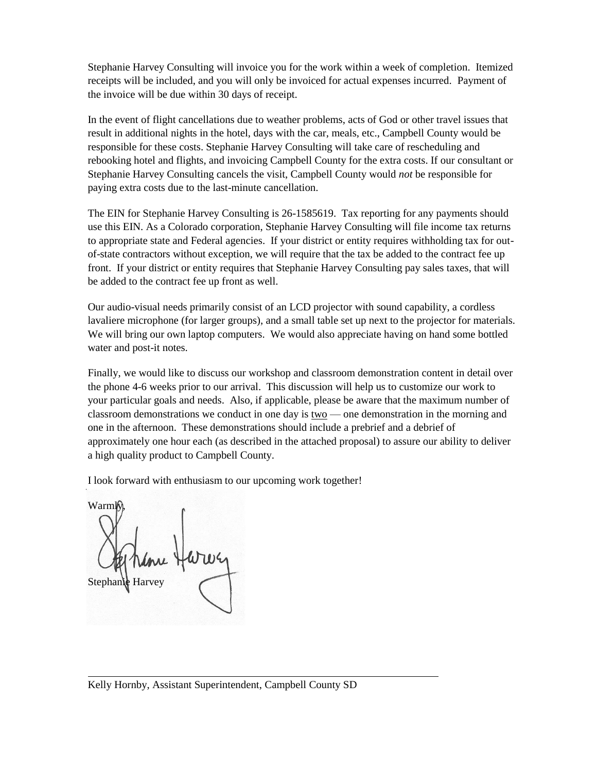Stephanie Harvey Consulting will invoice you for the work within a week of completion. Itemized receipts will be included, and you will only be invoiced for actual expenses incurred. Payment of the invoice will be due within 30 days of receipt.

In the event of flight cancellations due to weather problems, acts of God or other travel issues that result in additional nights in the hotel, days with the car, meals, etc., Campbell County would be responsible for these costs. Stephanie Harvey Consulting will take care of rescheduling and rebooking hotel and flights, and invoicing Campbell County for the extra costs. If our consultant or Stephanie Harvey Consulting cancels the visit, Campbell County would *not* be responsible for paying extra costs due to the last-minute cancellation.

The EIN for Stephanie Harvey Consulting is 26-1585619. Tax reporting for any payments should use this EIN. As a Colorado corporation, Stephanie Harvey Consulting will file income tax returns to appropriate state and Federal agencies. If your district or entity requires withholding tax for outof-state contractors without exception, we will require that the tax be added to the contract fee up front. If your district or entity requires that Stephanie Harvey Consulting pay sales taxes, that will be added to the contract fee up front as well.

Our audio-visual needs primarily consist of an LCD projector with sound capability, a cordless lavaliere microphone (for larger groups), and a small table set up next to the projector for materials. We will bring our own laptop computers. We would also appreciate having on hand some bottled water and post-it notes.

Finally, we would like to discuss our workshop and classroom demonstration content in detail over the phone 4-6 weeks prior to our arrival. This discussion will help us to customize our work to your particular goals and needs. Also, if applicable, please be aware that the maximum number of classroom demonstrations we conduct in one day is two — one demonstration in the morning and one in the afternoon. These demonstrations should include a prebrief and a debrief of approximately one hour each (as described in the attached proposal) to assure our ability to deliver a high quality product to Campbell County.

I look forward with enthusiasm to our upcoming work together!

Warml Stephanie Harve